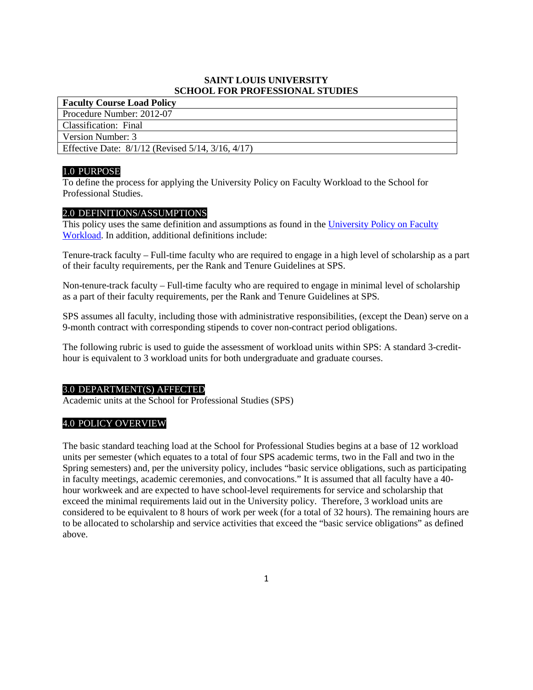# **SAINT LOUIS UNIVERSITY SCHOOL FOR PROFESSIONAL STUDIES**

**Faculty Course Load Policy** Procedure Number: 2012-07 Classification: Final Version Number: 3 Effective Date: 8/1/12 (Revised 5/14, 3/16, 4/17)

# 1.0 PURPOSE

To define the process for applying the University Policy on Faculty Workload to the School for Professional Studies.

### 2.0 DEFINITIONS/ASSUMPTIONS

This policy uses the same definition and assumptions as found in the University Policy on Faculty [Workload.](http://www.slu.edu/Documents/provost/academic_affairs/University_Faculty_Workload_Policy_(Official_Policy_Format_2-29-16).pdf) In addition, additional definitions include:

Tenure-track faculty – Full-time faculty who are required to engage in a high level of scholarship as a part of their faculty requirements, per the Rank and Tenure Guidelines at SPS.

Non-tenure-track faculty – Full-time faculty who are required to engage in minimal level of scholarship as a part of their faculty requirements, per the Rank and Tenure Guidelines at SPS.

SPS assumes all faculty, including those with administrative responsibilities, (except the Dean) serve on a 9-month contract with corresponding stipends to cover non-contract period obligations.

The following rubric is used to guide the assessment of workload units within SPS: A standard 3-credithour is equivalent to 3 workload units for both undergraduate and graduate courses.

#### 3.0 DEPARTMENT(S) AFFECTED

Academic units at the School for Professional Studies (SPS)

# 4.0 POLICY OVERVIEW

The basic standard teaching load at the School for Professional Studies begins at a base of 12 workload units per semester (which equates to a total of four SPS academic terms, two in the Fall and two in the Spring semesters) and, per the university policy, includes "basic service obligations, such as participating in faculty meetings, academic ceremonies, and convocations." It is assumed that all faculty have a 40 hour workweek and are expected to have school-level requirements for service and scholarship that exceed the minimal requirements laid out in the University policy. Therefore, 3 workload units are considered to be equivalent to 8 hours of work per week (for a total of 32 hours). The remaining hours are to be allocated to scholarship and service activities that exceed the "basic service obligations" as defined above.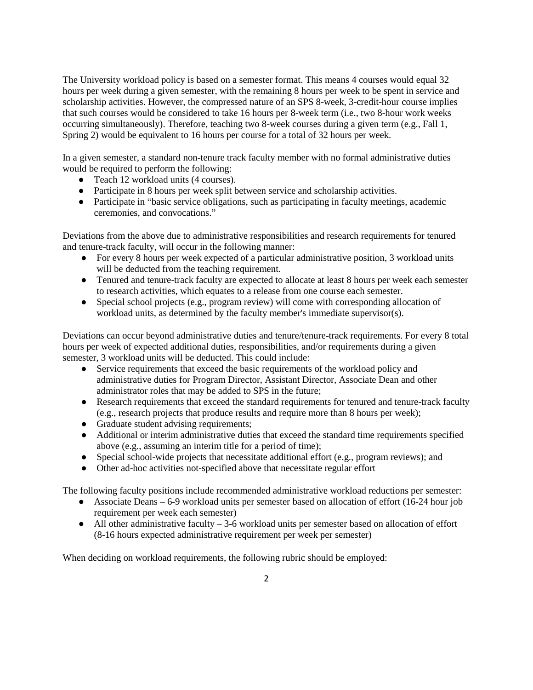The University workload policy is based on a semester format. This means 4 courses would equal 32 hours per week during a given semester, with the remaining 8 hours per week to be spent in service and scholarship activities. However, the compressed nature of an SPS 8-week, 3-credit-hour course implies that such courses would be considered to take 16 hours per 8-week term (i.e., two 8-hour work weeks occurring simultaneously). Therefore, teaching two 8-week courses during a given term (e.g., Fall 1, Spring 2) would be equivalent to 16 hours per course for a total of 32 hours per week.

In a given semester, a standard non-tenure track faculty member with no formal administrative duties would be required to perform the following:

- Teach 12 workload units (4 courses).
- Participate in 8 hours per week split between service and scholarship activities.
- Participate in "basic service obligations, such as participating in faculty meetings, academic ceremonies, and convocations."

Deviations from the above due to administrative responsibilities and research requirements for tenured and tenure-track faculty, will occur in the following manner:

- For every 8 hours per week expected of a particular administrative position, 3 workload units will be deducted from the teaching requirement.
- Tenured and tenure-track faculty are expected to allocate at least 8 hours per week each semester to research activities, which equates to a release from one course each semester.
- Special school projects (e.g., program review) will come with corresponding allocation of workload units, as determined by the faculty member's immediate supervisor(s).

Deviations can occur beyond administrative duties and tenure/tenure-track requirements. For every 8 total hours per week of expected additional duties, responsibilities, and/or requirements during a given semester, 3 workload units will be deducted. This could include:

- Service requirements that exceed the basic requirements of the workload policy and administrative duties for Program Director, Assistant Director, Associate Dean and other administrator roles that may be added to SPS in the future;
- Research requirements that exceed the standard requirements for tenured and tenure-track faculty (e.g., research projects that produce results and require more than 8 hours per week);
- Graduate student advising requirements;
- Additional or interim administrative duties that exceed the standard time requirements specified above (e.g., assuming an interim title for a period of time);
- Special school-wide projects that necessitate additional effort (e.g., program reviews); and
- Other ad-hoc activities not-specified above that necessitate regular effort

The following faculty positions include recommended administrative workload reductions per semester:

- Associate Deans 6-9 workload units per semester based on allocation of effort (16-24 hour job requirement per week each semester)
- $\bullet$  All other administrative faculty  $-3$ -6 workload units per semester based on allocation of effort (8-16 hours expected administrative requirement per week per semester)

When deciding on workload requirements, the following rubric should be employed: